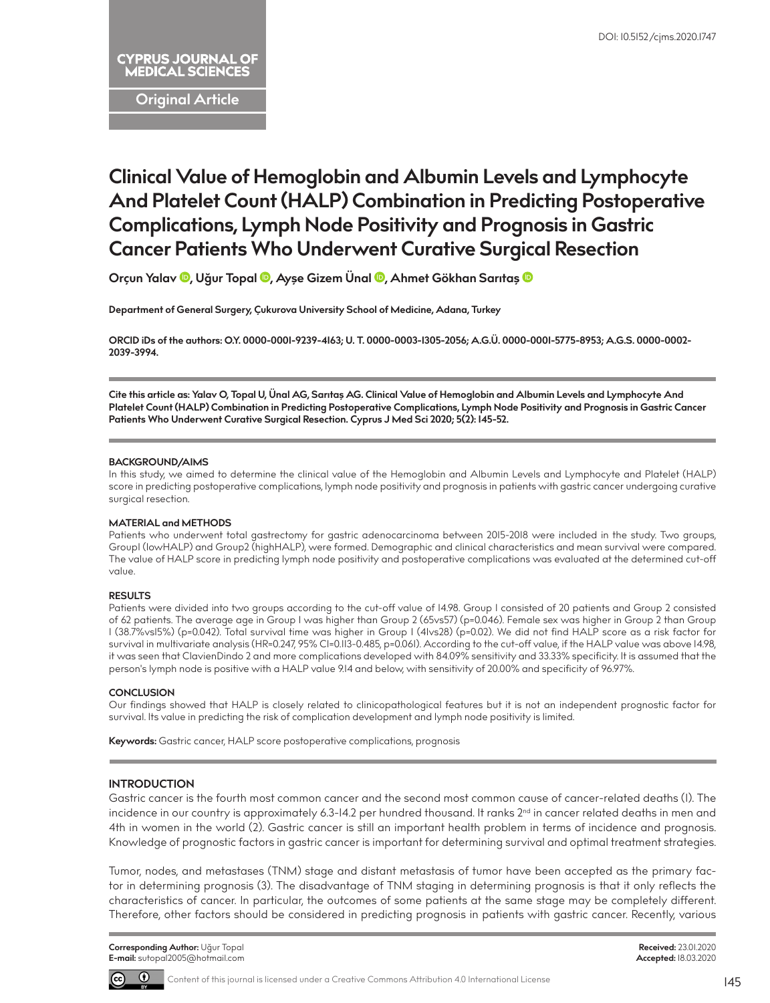# **CYPRUS JOURNAL OF MEDICAL SCIENCES**

**Original Article**

# **Clinical Value of Hemoglobin and Albumin Levels and Lymphocyte And Platelet Count (HALP) Combination in Predicting Postoperative Complications, Lymph Node Positivity and Prognosis in Gastric Cancer Patients Who Underwent Curative Surgical Resection**

**Orçun Yalav [,](http://orcid.org/0000-0001-9239-4163) Uğur Topal [,](http://orcid.org/0000-0003-1305-2056) Ayşe Gizem Üna[l ,](http://orcid.org/0000-0001-5775-8953) Ahmet Gökhan Sarıta[ş](http://orcid.org/0000-0002-2039-3994)** 

**Department of General Surgery, Çukurova University School of Medicine, Adana, Turkey**

**ORCID iDs of the authors: O.Y. 0000-0001-9239-4163; U. T. 0000-0003-1305-2056; A.G.Ü. 0000-0001-5775-8953; A.G.S. 0000-0002- 2039-3994.**

**Cite this article as: Yalav O, Topal U, Ünal AG, Sarıtaş AG. Clinical Value of Hemoglobin and Albumin Levels and Lymphocyte And Platelet Count (HALP) Combination in Predicting Postoperative Complications, Lymph Node Positivity and Prognosis in Gastric Cancer Patients Who Underwent Curative Surgical Resection. Cyprus J Med Sci 2020; 5(2): 145-52.**

#### **BACKGROUND/AIMS**

In this study, we aimed to determine the clinical value of the Hemoglobin and Albumin Levels and Lymphocyte and Platelet (HALP) score in predicting postoperative complications, lymph node positivity and prognosis in patients with gastric cancer undergoing curative surgical resection.

#### **MATERIAL and METHODS**

Patients who underwent total gastrectomy for gastric adenocarcinoma between 2015-2018 were included in the study. Two groups, Group1 (lowHALP) and Group2 (highHALP), were formed. Demographic and clinical characteristics and mean survival were compared. The value of HALP score in predicting lymph node positivity and postoperative complications was evaluated at the determined cut-off value.

## **RESULTS**

Patients were divided into two groups according to the cut-off value of 14.98. Group 1 consisted of 20 patients and Group 2 consisted of 62 patients. The average age in Group 1 was higher than Group 2 (65vs57) (p=0.046). Female sex was higher in Group 2 than Group 1 (38.7%vs15%) (p=0.042). Total survival time was higher in Group 1 (41vs28) (p=0.02). We did not find HALP score as a risk factor for survival in multivariate analysis (HR=0.247, 95% CI=0.II3-0.485, p=0.06I). According to the cut-off value, if the HALP value was above I4.98, it was seen that ClavienDindo 2 and more complications developed with 84.09% sensitivity and 33.33% specificity. It is assumed that the person's lymph node is positive with a HALP value 9.14 and below, with sensitivity of 20.00% and specificity of 96.97%.

## **CONCLUSION**

Our findings showed that HALP is closely related to clinicopathological features but it is not an independent prognostic factor for survival. Its value in predicting the risk of complication development and lymph node positivity is limited.

**Keywords:** Gastric cancer, HALP score postoperative complications, prognosis

## **INTRODUCTION**

Gastric cancer is the fourth most common cancer and the second most common cause of cancer-related deaths (1). The incidence in our country is approximately 6.3-14.2 per hundred thousand. It ranks 2<sup>nd</sup> in cancer related deaths in men and 4th in women in the world (2). Gastric cancer is still an important health problem in terms of incidence and prognosis. Knowledge of prognostic factors in gastric cancer is important for determining survival and optimal treatment strategies.

Tumor, nodes, and metastases (TNM) stage and distant metastasis of tumor have been accepted as the primary factor in determining prognosis (3). The disadvantage of TNM staging in determining prognosis is that it only reflects the characteristics of cancer. In particular, the outcomes of some patients at the same stage may be completely different. Therefore, other factors should be considered in predicting prognosis in patients with gastric cancer. Recently, various

**Corresponding Author:** Uğur Topal **E-mail:** sutopal2005@hotmail.com



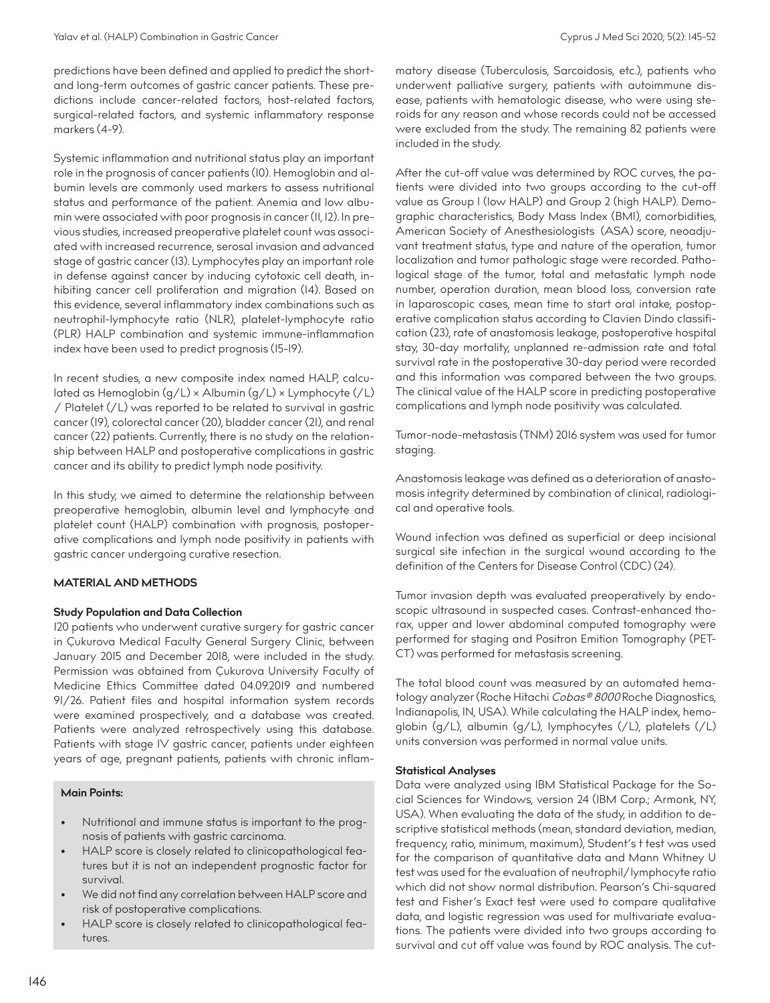predictions have been defined and applied to predict the shortand long-term outcomes of gastric cancer patients. These predictions include cancer-related factors, host-related factors, surgical-related factors, and systemic inflammatory response markers (4-9).

Systemic inflammation and nutritional status play an important role in the prognosis of cancer patients (10). Hemoglobin and albumin levels are commonly used markers to assess nutritional status and performance of the patient. Anemia and low albumin were associated with poor prognosis in cancer (11, 12). In previous studies, increased preoperative platelet count was associated with increased recurrence, serosal invasion and advanced stage of gastric cancer (13). Lymphocytes play an important role in defense against cancer by inducing cytotoxic cell death, inhibiting cancer cell proliferation and migration (14). Based on this evidence, several inflammatory index combinations such as neutrophil-lymphocyte ratio (NLR), platelet-lymphocyte ratio (PLR) HALP combination and systemic immune-inflammation index have been used to predict prognosis (15-19).

In recent studies, a new composite index named HALP, calculated as Hemoglobin (g/L) × Albumin (g/L) × Lymphocyte (/L) / Platelet (/L) was reported to be related to survival in gastric cancer (19), colorectal cancer (20), bladder cancer (21), and renal cancer (22) patients. Currently, there is no study on the relationship between HALP and postoperative complications in gastric cancer and its ability to predict lymph node positivity.

In this study, we aimed to determine the relationship between preoperative hemoglobin, albumin level and lymphocyte and platelet count (HALP) combination with prognosis, postoperative complications and lymph node positivity in patients with gastric cancer undergoing curative resection.

## **MATERIAL AND METHODS**

## **Study Population and Data Collection**

120 patients who underwent curative surgery for gastric cancer in Çukurova Medical Faculty General Surgery Clinic, between January 2015 and December 2018, were included in the study. Permission was obtained from Çukurova University Faculty of Medicine Ethics Committee dated 04.09.2019 and numbered 91/26. Patient files and hospital information system records were examined prospectively, and a database was created. Patients were analyzed retrospectively using this database. Patients with stage IV gastric cancer, patients under eighteen years of age, pregnant patients, patients with chronic inflam-

#### **Main Points:**

- Nutritional and immune status is important to the prognosis of patients with gastric carcinoma.
- HALP score is closely related to clinicopathological features but it is not an independent prognostic factor for survival.
- We did not find any correlation between HALP score and risk of postoperative complications.
- HALP score is closely related to clinicopathological features.

matory disease (Tuberculosis, Sarcoidosis, etc.), patients who underwent palliative surgery, patients with autoimmune disease, patients with hematologic disease, who were using steroids for any reason and whose records could not be accessed were excluded from the study. The remaining 82 patients were included in the study.

After the cut-off value was determined by ROC curves, the patients were divided into two groups according to the cut-off value as Group 1 (low HALP) and Group 2 (high HALP). Demographic characteristics, Body Mass Index (BMI), comorbidities, American Society of Anesthesiologists (ASA) score, neoadjuvant treatment status, type and nature of the operation, tumor localization and tumor pathologic stage were recorded. Pathological stage of the tumor, total and metastatic lymph node number, operation duration, mean blood loss, conversion rate in laparoscopic cases, mean time to start oral intake, postoperative complication status according to Clavien Dindo classification (23), rate of anastomosis leakage, postoperative hospital stay, 30-day mortality, unplanned re-admission rate and total survival rate in the postoperative 30-day period were recorded and this information was compared between the two groups. The clinical value of the HALP score in predicting postoperative complications and lymph node positivity was calculated.

Tumor-node-metastasis (TNM) 2016 system was used for tumor staging.

Anastomosis leakage was defined as a deterioration of anastomosis integrity determined by combination of clinical, radiological and operative tools.

Wound infection was defined as superficial or deep incisional surgical site infection in the surgical wound according to the definition of the Centers for Disease Control (CDC) (24).

Tumor invasion depth was evaluated preoperatively by endoscopic ultrasound in suspected cases. Contrast-enhanced thorax, upper and lower abdominal computed tomography were performed for staging and Positron Emition Tomography (PET-CT) was performed for metastasis screening.

The total blood count was measured by an automated hematology analyzer (Roche Hitachi Cobas® 8000 Roche Diagnostics, Indianapolis, IN, USA). While calculating the HALP index, hemoglobin (g/L), albumin (g/L), lymphocytes (/L), platelets (/L) units conversion was performed in normal value units.

## **Statistical Analyses**

Data were analyzed using IBM Statistical Package for the Social Sciences for Windows, version 24 (IBM Corp.; Armonk, NY, USA). When evaluating the data of the study, in addition to descriptive statistical methods (mean, standard deviation, median, frequency, ratio, minimum, maximum), Student's t test was used for the comparison of quantitative data and Mann Whitney U test was used for the evaluation of neutrophil/lymphocyte ratio which did not show normal distribution. Pearson's Chi-squared test and Fisher's Exact test were used to compare qualitative data, and logistic regression was used for multivariate evaluations. The patients were divided into two groups according to survival and cut off value was found by ROC analysis. The cut-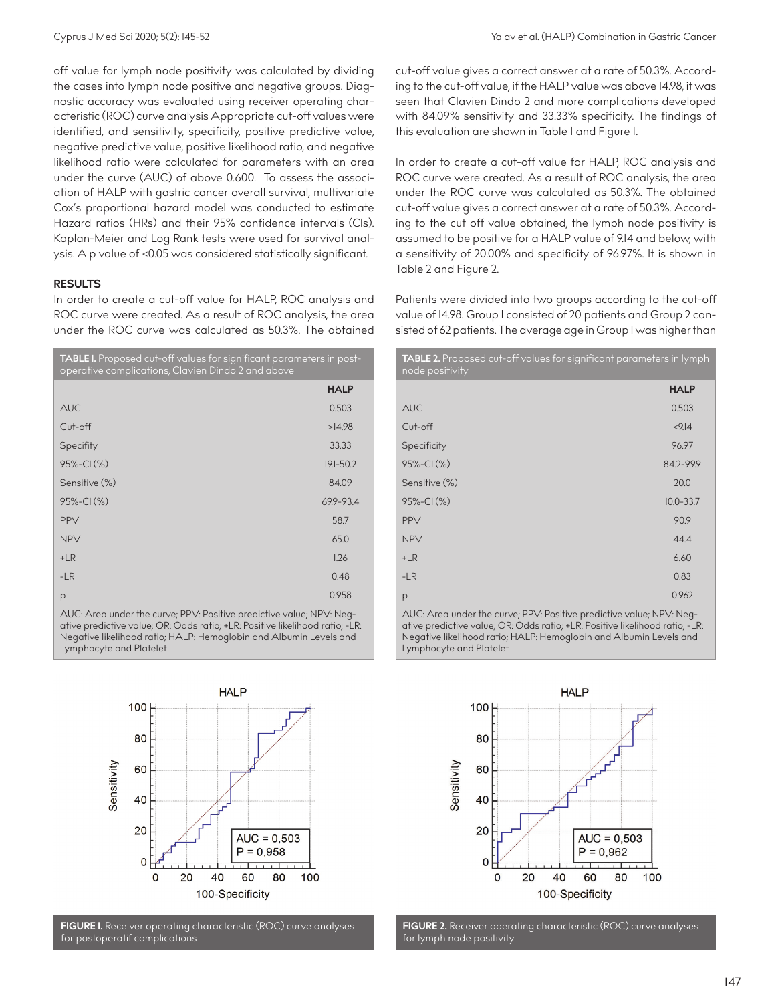off value for lymph node positivity was calculated by dividing the cases into lymph node positive and negative groups. Diagnostic accuracy was evaluated using receiver operating characteristic (ROC) curve analysis Appropriate cut-off values were identified, and sensitivity, specificity, positive predictive value, negative predictive value, positive likelihood ratio, and negative likelihood ratio were calculated for parameters with an area under the curve (AUC) of above 0.600. To assess the association of HALP with gastric cancer overall survival, multivariate Cox's proportional hazard model was conducted to estimate Hazard ratios (HRs) and their 95% confidence intervals (CIs). Kaplan-Meier and Log Rank tests were used for survival analysis. A p value of <0.05 was considered statistically significant.

# **RESULTS**

In order to create a cut-off value for HALP, ROC analysis and ROC curve were created. As a result of ROC analysis, the area under the ROC curve was calculated as 50.3%. The obtained

| TABLE I. Proposed cut-off values for significant parameters in post-<br>operative complications, Clavien Dindo 2 and above |               |  |  |
|----------------------------------------------------------------------------------------------------------------------------|---------------|--|--|
|                                                                                                                            | <b>HALP</b>   |  |  |
| <b>AUC</b>                                                                                                                 | 0.503         |  |  |
| Cut-off                                                                                                                    | >14.98        |  |  |
| Specifity                                                                                                                  | 33.33         |  |  |
| 95%-CI (%)                                                                                                                 | $19.1 - 50.2$ |  |  |
| Sensitive (%)                                                                                                              | 84.09         |  |  |
| 95%-CI(%)                                                                                                                  | 699-93.4      |  |  |
| <b>PPV</b>                                                                                                                 | 58.7          |  |  |
| <b>NPV</b>                                                                                                                 | 65.0          |  |  |
| $+LR$                                                                                                                      | 1.26          |  |  |
| $-LR$                                                                                                                      | 0.48          |  |  |
| р                                                                                                                          | 0.958         |  |  |

AUC: Area under the curve; PPV: Positive predictive value; NPV: Negative predictive value; OR: Odds ratio; +LR: Positive likelihood ratio; -LR: Negative likelihood ratio; HALP: Hemoglobin and Albumin Levels and Lymphocyte and Platelet



**FIGURE 1.** Receiver operating characteristic (ROC) curve analyses for postoperatif complications

cut-off value gives a correct answer at a rate of 50.3%. According to the cut-off value, if the HALP value was above 14.98, it was seen that Clavien Dindo 2 and more complications developed with 84.09% sensitivity and 33.33% specificity. The findings of this evaluation are shown in Table 1 and Figure 1.

In order to create a cut-off value for HALP, ROC analysis and ROC curve were created. As a result of ROC analysis, the area under the ROC curve was calculated as 50.3%. The obtained cut-off value gives a correct answer at a rate of 50.3%. According to the cut off value obtained, the lymph node positivity is assumed to be positive for a HALP value of 9.14 and below, with a sensitivity of 20.00% and specificity of 96.97%. It is shown in Table 2 and Figure 2.

Patients were divided into two groups according to the cut-off value of 14.98. Group 1 consisted of 20 patients and Group 2 consisted of 62 patients. The average age in Group I was higher than

| TABLE 2. Proposed cut-off values for significant parameters in lymph<br>node positivity |               |  |  |
|-----------------------------------------------------------------------------------------|---------------|--|--|
|                                                                                         | <b>HALP</b>   |  |  |
| <b>AUC</b>                                                                              | 0.503         |  |  |
| Cut-off                                                                                 | < 9.14        |  |  |
| Specificity                                                                             | 96.97         |  |  |
| 95%-CI(%)                                                                               | 84.2-99.9     |  |  |
| Sensitive (%)                                                                           | 20.0          |  |  |
| 95%-CI(%)                                                                               | $10.0 - 33.7$ |  |  |
| PPV                                                                                     | 90.9          |  |  |
| <b>NPV</b>                                                                              | 44.4          |  |  |
| $+LR$                                                                                   | 6.60          |  |  |
| $-LR$                                                                                   | 0.83          |  |  |
| p                                                                                       | 0.962         |  |  |

AUC: Area under the curve; PPV: Positive predictive value; NPV: Negative predictive value; OR: Odds ratio; +LR: Positive likelihood ratio; -LR: Negative likelihood ratio; HALP: Hemoglobin and Albumin Levels and Lymphocyte and Platelet



**FIGURE 2.** Receiver operating characteristic (ROC) curve analyses for lymph node positivity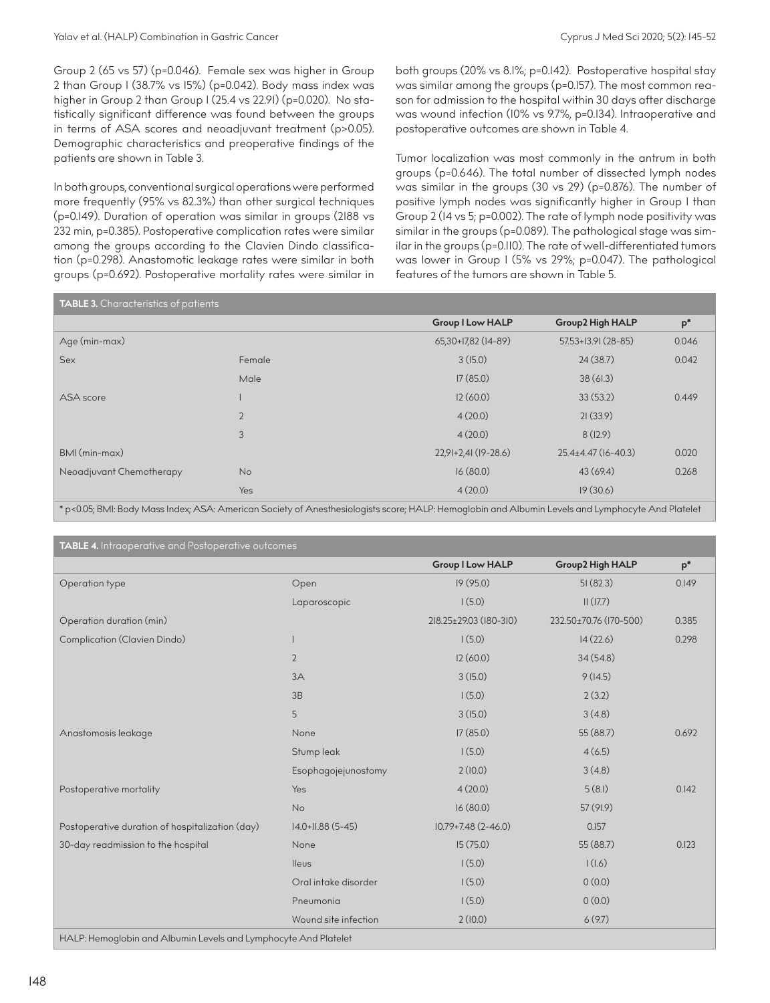Group 2 (65 vs 57) (p=0.046). Female sex was higher in Group 2 than Group 1 (38.7% vs 15%) (p=0.042). Body mass index was higher in Group 2 than Group 1 (25.4 vs 22.91) (p=0.020). No statistically significant difference was found between the groups in terms of ASA scores and neoadjuvant treatment (p>0.05). Demographic characteristics and preoperative findings of the patients are shown in Table 3.

In both groups, conventional surgical operations were performed more frequently (95% vs 82.3%) than other surgical techniques (p=0.149). Duration of operation was similar in groups (2188 vs 232 min, p=0.385). Postoperative complication rates were similar among the groups according to the Clavien Dindo classification (p=0.298). Anastomotic leakage rates were similar in both groups (p=0.692). Postoperative mortality rates were similar in both groups (20% vs 8.1%; p=0.142). Postoperative hospital stay was similar among the groups (p=0.157). The most common reason for admission to the hospital within 30 days after discharge was wound infection (10% vs 9.7%, p=0.134). Intraoperative and postoperative outcomes are shown in Table 4.

Tumor localization was most commonly in the antrum in both groups (p=0.646). The total number of dissected lymph nodes was similar in the groups (30 vs 29) (p=0.876). The number of positive lymph nodes was significantly higher in Group 1 than Group 2 (14 vs 5; p=0.002). The rate of lymph node positivity was similar in the groups (p=0.089). The pathological stage was similar in the groups (p=0.110). The rate of well-differentiated tumors was lower in Group 1 (5% vs 29%; p=0.047). The pathological features of the tumors are shown in Table 5.

| <b>TABLE 3.</b> Characteristics of patients                                                                                                       |                |                         |                           |       |  |  |
|---------------------------------------------------------------------------------------------------------------------------------------------------|----------------|-------------------------|---------------------------|-------|--|--|
|                                                                                                                                                   |                | <b>Group I Low HALP</b> | <b>Group2 High HALP</b>   | $p^*$ |  |  |
| Age (min-max)                                                                                                                                     |                | 65,30+17,82 (14-89)     | 57.53+13.91 (28-85)       | 0.046 |  |  |
| Sex                                                                                                                                               | Female         | 3(15.0)                 | 24(38.7)                  | 0.042 |  |  |
|                                                                                                                                                   | Male           | 17(85.0)                | 38(61.3)                  |       |  |  |
| ASA score                                                                                                                                         |                | 12(60.0)                | 33(53.2)                  | 0.449 |  |  |
|                                                                                                                                                   | $\overline{2}$ | 4(20.0)                 | 21(33.9)                  |       |  |  |
|                                                                                                                                                   | 3              | 4(20.0)                 | 8(12.9)                   |       |  |  |
| BMI (min-max)                                                                                                                                     |                | 22,91+2,41 (19-28.6)    | $25.4 \pm 4.47$ (16-40.3) | 0.020 |  |  |
| Neoadjuvant Chemotherapy                                                                                                                          | <b>No</b>      | 16(80.0)                | 43(69.4)                  | 0.268 |  |  |
|                                                                                                                                                   | <b>Yes</b>     | 4(20.0)                 | 19(30.6)                  |       |  |  |
| * p<0.05; BMI: Body Mass Index; ASA: American Society of Anesthesiologists score; HALP: Hemoglobin and Albumin Levels and Lymphocyte And Platelet |                |                         |                           |       |  |  |

**TABLE 4.** Intraoperative and Postoperative outcomes **Group 1 Low HALP Group2 High HALP p\*** Operation type Open 19 (95.0) 51 (82.3) 0.149  $Laparoscopic$  1 (5.0) 11 (17.7) Operation duration (min) 218.25±29.03 (180-310) 232.50±70.76 (170-500) 0.385 Complication (Clavien Dindo) 1 1 (5.0) 14 (22.6) 0.298 2  $12(60.0)$   $34(54.8)$  $3A$   $3(15.0)$   $9(14.5)$  $1(5.0)$  2 (3.2) 5 3 (15.0) 3 (15.0) 3 (15.0) 3 (4.8) Anastomosis leakage 17 (85.0) 55 (88.7) 0.692 Stump leak 1 (5.0) 4 (6.5) Esophagojejunostomy 2 (10.0) 3 (4.8) Postoperative mortality and the set of the Messian Messian Area (20.0) 5 (8.1) The Second Contract of the D.142 No 16 (80.0) 57 (91.9) Postoperative duration of hospitalization (day)  $14.0+11.88$  (5-45) 10.79+7.48 (2-46.0) 0.157 30-day readmission to the hospital **120-day readmission to the hospital None** 15 (75.0) 123  $I(5.0)$  1 (1.6) 1 (1.6) Oral intake disorder 1 (5.0) 0 (0.0) Pneumonia  $(5.0)$ Wound site infection  $2(10.0)$  6 (9.7) HALP: Hemoglobin and Albumin Levels and Lymphocyte And Platelet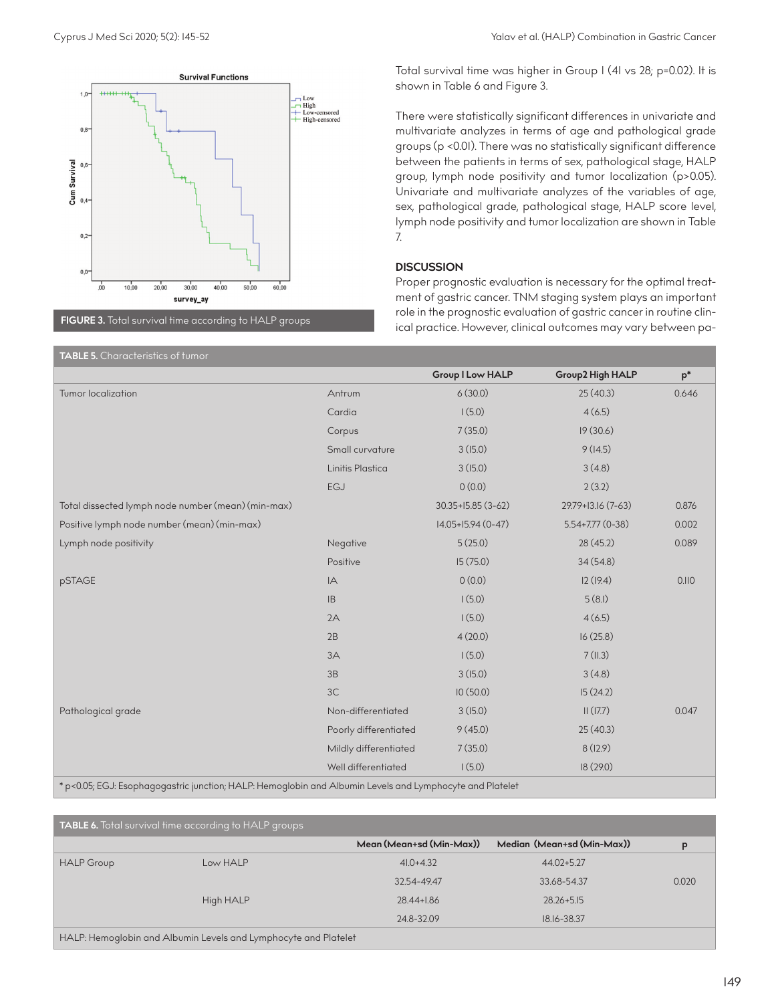**ALCOHOL** 

 $0.8$ 

Survival  $0<sub>6</sub>$ 

Cum  $0.4$ 

 $0.2$ 

 $0<sup>c</sup>$ 

Low-censored High-consored There were statistically significant differences in univariate and multivariate analyzes in terms of age and pathological grade groups (p <0.01). There was no statistically significant difference between the patients in terms of sex, pathological stage, HALP group, lymph node positivity and tumor localization (p>0.05). Univariate and multivariate analyzes of the variables of age, sex, pathological grade, pathological stage, HALP score level, lymph node positivity and tumor localization are shown in Table 7.

# **DISCUSSION**

Proper prognostic evaluation is necessary for the optimal treatment of gastric cancer. TNM staging system plays an important role in the prognostic evaluation of gastric cancer in routine clinical practice. However, clinical outcomes may vary between pa-

**TABLE 5.** Characteristics of tumor **Group 1 Low HALP Group2 High HALP p\*** Tumor localization Antrum 6 (30.0) 25 (40.3) 0.646  $Cardia$   $(6.5)$ Corpus 7 (35.0) 19 (30.6) Small curvature  $3(15.0)$  9 (14.5) Linitis Plastica 3 (15.0) 3 (4.8) EGJ  $0(0.0)$  2 (3.2) Total dissected lymph node number (mean) (min-max) 30.35+15.85 (3-62) 29.79+13.16 (7-63) 0.876 Positive lymph node number (mean) (min-max) 14.05+15.94 (0-47) 5.54+7.77 (0-38) 0.002 Lymph node positivity and the control of the Megative CDS (25.0) 28 (45.2) 28 (45.2) 28 (45.2) 2.089 Positive 15 (75.0) 15 (75.0) 34 (54.8) pSTAGE 12 (19.4) 12 (19.4) 12 (19.4) 12 (19.4) 12 (19.4) 12 (19.4) 12 (19.4) 12 (19.4) 12 (19.4) 12 (19.4) 12  $1(5.0)$  5 (8.1)  $1(5.0)$  4 (6.5)  $4(20.0)$  16 (25.8)  $3A$  7 (11.3)  $3B$  3 (15.0) 3 (15.0) 3 (4.8) 3C 10 (50.0) 15 (24.2) Pathological grade 1992 Control of the Non-differentiated 3 (15.0) 11 (17.7) 20047 Poorly differentiated 9 (45.0) 25 (40.3) Mildly differentiated  $7$  (35.0) 8 (12.9) Well differentiated 1 (5.0) 18 (29.0)

\* p<0.05; EGJ: Esophagogastric junction; HALP: Hemoglobin and Albumin Levels and Lymphocyte and Platelet

**TABLE 6.** Total survival time according to HALP groups **Mean (Mean+sd (Min-Max)) Median (Mean+sd (Min-Max)) p** HALP Group Low HALP 41.0+4.32 44.02+5.27 32.54-49.47 33.68-54.37 0.020 High HALP 28.44+1.86 28.26+5.15 24.8-32.09 18.16-38.37 HALP: Hemoglobin and Albumin Levels and Lymphocyte and Platelet

 $10,00$  $40.00$  $50.00$  $60.00$  $\frac{1}{2}$  $20.00$  $30,00$ survey av **FIGURE 3.** Total survival time according to HALP groups

**Survival Functions**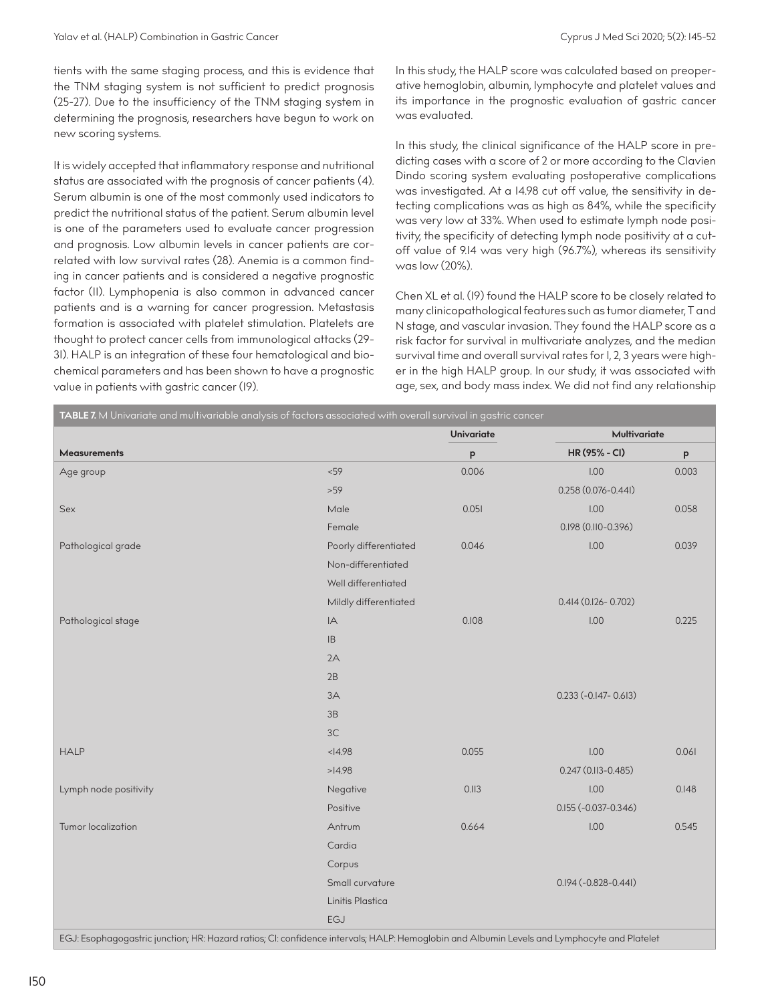tients with the same staging process, and this is evidence that the TNM staging system is not sufficient to predict prognosis (25-27). Due to the insufficiency of the TNM staging system in determining the prognosis, researchers have begun to work on new scoring systems.

It is widely accepted that inflammatory response and nutritional status are associated with the prognosis of cancer patients (4). Serum albumin is one of the most commonly used indicators to predict the nutritional status of the patient. Serum albumin level is one of the parameters used to evaluate cancer progression and prognosis. Low albumin levels in cancer patients are correlated with low survival rates (28). Anemia is a common finding in cancer patients and is considered a negative prognostic factor (11). Lymphopenia is also common in advanced cancer patients and is a warning for cancer progression. Metastasis formation is associated with platelet stimulation. Platelets are thought to protect cancer cells from immunological attacks (29- 31). HALP is an integration of these four hematological and biochemical parameters and has been shown to have a prognostic value in patients with gastric cancer (19).

In this study, the HALP score was calculated based on preoperative hemoglobin, albumin, lymphocyte and platelet values and its importance in the prognostic evaluation of gastric cancer was evaluated.

In this study, the clinical significance of the HALP score in predicting cases with a score of 2 or more according to the Clavien Dindo scoring system evaluating postoperative complications was investigated. At a 14.98 cut off value, the sensitivity in detecting complications was as high as 84%, while the specificity was very low at 33%. When used to estimate lymph node positivity, the specificity of detecting lymph node positivity at a cutoff value of 9.14 was very high (96.7%), whereas its sensitivity was low (20%).

Chen XL et al. (19) found the HALP score to be closely related to many clinicopathological features such as tumor diameter, T and N stage, and vascular invasion. They found the HALP score as a risk factor for survival in multivariate analyzes, and the median survival time and overall survival rates for 1, 2, 3 years were higher in the high HALP group. In our study, it was associated with age, sex, and body mass index. We did not find any relationship

| TABLE 7. M Univariate and multivariable analysis of factors associated with overall survival in gastric cancer |                       |            |                                                                                                                                                                                                                                                                                                                                                                                                                              |         |  |  |
|----------------------------------------------------------------------------------------------------------------|-----------------------|------------|------------------------------------------------------------------------------------------------------------------------------------------------------------------------------------------------------------------------------------------------------------------------------------------------------------------------------------------------------------------------------------------------------------------------------|---------|--|--|
|                                                                                                                |                       | Univariate | Multivariate                                                                                                                                                                                                                                                                                                                                                                                                                 |         |  |  |
| <b>Measurements</b>                                                                                            |                       | $\sf p$    | HR (95% - CI)                                                                                                                                                                                                                                                                                                                                                                                                                | $\sf p$ |  |  |
| Age group                                                                                                      | < 59                  | 0.006      | 1.00                                                                                                                                                                                                                                                                                                                                                                                                                         | 0.003   |  |  |
|                                                                                                                | $>59$                 |            | $0.258(0.076 - 0.441)$                                                                                                                                                                                                                                                                                                                                                                                                       |         |  |  |
| Sex                                                                                                            | Male                  | 0.051      | 1.00                                                                                                                                                                                                                                                                                                                                                                                                                         | 0.058   |  |  |
|                                                                                                                | Female                |            | 0.198 (0.110-0.396)                                                                                                                                                                                                                                                                                                                                                                                                          |         |  |  |
| Pathological grade                                                                                             | Poorly differentiated | 0.046      | 1.00                                                                                                                                                                                                                                                                                                                                                                                                                         | 0.039   |  |  |
|                                                                                                                | Non-differentiated    |            |                                                                                                                                                                                                                                                                                                                                                                                                                              |         |  |  |
|                                                                                                                | Well differentiated   |            |                                                                                                                                                                                                                                                                                                                                                                                                                              |         |  |  |
|                                                                                                                | Mildly differentiated |            | $0.414(0.126 - 0.702)$                                                                                                                                                                                                                                                                                                                                                                                                       |         |  |  |
| Pathological stage                                                                                             | IA                    | 0.108      | 1.00                                                                                                                                                                                                                                                                                                                                                                                                                         | 0.225   |  |  |
|                                                                                                                | IB                    |            |                                                                                                                                                                                                                                                                                                                                                                                                                              |         |  |  |
|                                                                                                                | 2A                    |            |                                                                                                                                                                                                                                                                                                                                                                                                                              |         |  |  |
|                                                                                                                | 2B                    |            |                                                                                                                                                                                                                                                                                                                                                                                                                              |         |  |  |
|                                                                                                                | 3A                    |            | $0.233 (-0.147 - 0.613)$                                                                                                                                                                                                                                                                                                                                                                                                     |         |  |  |
|                                                                                                                | 3B                    |            |                                                                                                                                                                                                                                                                                                                                                                                                                              |         |  |  |
|                                                                                                                | 3C                    |            |                                                                                                                                                                                                                                                                                                                                                                                                                              |         |  |  |
| <b>HALP</b>                                                                                                    | < 4.98                | 0.055      | 1.00                                                                                                                                                                                                                                                                                                                                                                                                                         | 0.061   |  |  |
|                                                                                                                | >14.98                |            | 0.247 (0.II3-0.485)                                                                                                                                                                                                                                                                                                                                                                                                          |         |  |  |
| Lymph node positivity                                                                                          | Negative              | 0.113      | 1.00                                                                                                                                                                                                                                                                                                                                                                                                                         | 0.148   |  |  |
|                                                                                                                | Positive              |            | $0.155(-0.037-0.346)$                                                                                                                                                                                                                                                                                                                                                                                                        |         |  |  |
| Tumor localization                                                                                             | Antrum                | 0.664      | 1.00                                                                                                                                                                                                                                                                                                                                                                                                                         | 0.545   |  |  |
|                                                                                                                | Cardia                |            |                                                                                                                                                                                                                                                                                                                                                                                                                              |         |  |  |
|                                                                                                                | Corpus                |            |                                                                                                                                                                                                                                                                                                                                                                                                                              |         |  |  |
|                                                                                                                | Small curvature       |            | $0.194 (-0.828 - 0.441)$                                                                                                                                                                                                                                                                                                                                                                                                     |         |  |  |
|                                                                                                                | Linitis Plastica      |            |                                                                                                                                                                                                                                                                                                                                                                                                                              |         |  |  |
|                                                                                                                | <b>EGJ</b>            |            |                                                                                                                                                                                                                                                                                                                                                                                                                              |         |  |  |
| <b><i>CONTRACTOR</i></b><br>$\overline{z}$<br><b>Contract Contract Contract</b><br>C <sub>1</sub>              | $\sim$ $\sim$         |            | $\mathbf{A} = \mathbf{A} + \mathbf{A} + \mathbf{B} + \mathbf{B} + \mathbf{B} + \mathbf{B} + \mathbf{B} + \mathbf{B} + \mathbf{B} + \mathbf{B} + \mathbf{B} + \mathbf{B} + \mathbf{B} + \mathbf{B} + \mathbf{B} + \mathbf{B} + \mathbf{B} + \mathbf{B} + \mathbf{B} + \mathbf{B} + \mathbf{B} + \mathbf{B} + \mathbf{B} + \mathbf{B} + \mathbf{B} + \mathbf{B} + \mathbf{B} + \mathbf{B} + \mathbf{B} + \mathbf{B} + \mathbf$ |         |  |  |

EGJ: Esophagogastric junction; HR: Hazard ratios; CI: confidence intervals; HALP: Hemoglobin and Albumin Levels and Lymphocyte and Platelet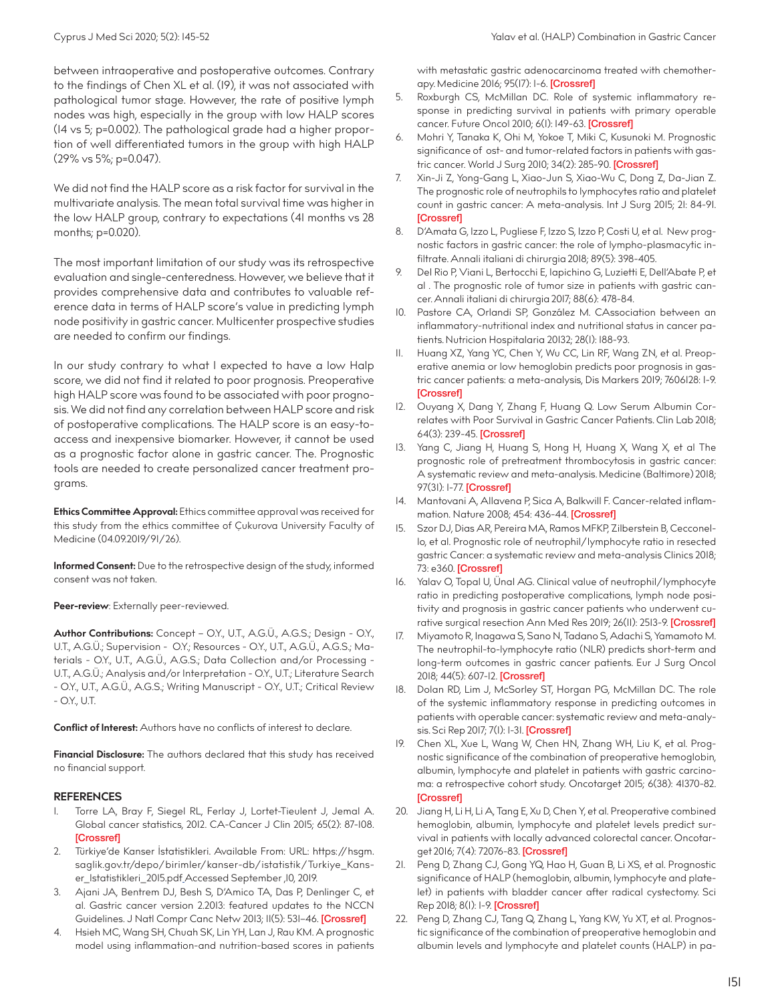Cyprus J Med Sci 2020; 5(2): 145-52 Yalav et al. (HALP) Combination in Gastric Cancer

between intraoperative and postoperative outcomes. Contrary to the findings of Chen XL et al. (19), it was not associated with pathological tumor stage. However, the rate of positive lymph nodes was high, especially in the group with low HALP scores (14 vs 5; p=0.002). The pathological grade had a higher proportion of well differentiated tumors in the group with high HALP (29% vs 5%; p=0.047).

We did not find the HALP score as a risk factor for survival in the multivariate analysis. The mean total survival time was higher in the low HALP group, contrary to expectations (41 months vs 28 months; p=0.020).

The most important limitation of our study was its retrospective evaluation and single-centeredness. However, we believe that it provides comprehensive data and contributes to valuable reference data in terms of HALP score's value in predicting lymph node positivity in gastric cancer. Multicenter prospective studies are needed to confirm our findings.

In our study contrary to what I expected to have a low Halp score, we did not find it related to poor prognosis. Preoperative high HALP score was found to be associated with poor prognosis. We did not find any correlation between HALP score and risk of postoperative complications. The HALP score is an easy-toaccess and inexpensive biomarker. However, it cannot be used as a prognostic factor alone in gastric cancer. The. Prognostic tools are needed to create personalized cancer treatment programs.

**Ethics Committee Approval:** Ethics committee approval was received for this study from the ethics committee of Çukurova University Faculty of Medicine (04.09.2019/91/26).

**Informed Consent:** Due to the retrospective design of the study, informed consent was not taken.

#### **Peer-review**: Externally peer-reviewed.

**Author Contributions:** Concept – O.Y., U.T., A.G.Ü., A.G.S.; Design - O.Y., U.T., A.G.Ü.; Supervision - O.Y.; Resources - O.Y., U.T., A.G.Ü., A.G.S.; Materials - O.Y., U.T., A.G.Ü., A.G.S.; Data Collection and/or Processing - U.T., A.G.Ü.; Analysis and/or Interpretation - O.Y., U.T.; Literature Search - O.Y., U.T., A.G.Ü., A.G.S.; Writing Manuscript - O.Y., U.T.; Critical Review - O.Y., U.T.

**Conflict of Interest:** Authors have no conflicts of interest to declare.

**Financial Disclosure:** The authors declared that this study has received no financial support.

## **REFERENCES**

- 1. Torre LA, Bray F, Siegel RL, Ferlay J, Lortet-Tieulent J, Jemal A. Global cancer statistics, 2012. CA-Cancer J Clin 2015; 65(2): 87-108. [[Crossref](https://doi.org/10.3322/caac.21262)]
- 2. Türkiye'de Kanser İstatistikleri. Available From: URL: https://hsgm. saglik.gov.tr/depo/birimler/kanser-db/istatistik/Turkiye\_Kanser\_Istatistikleri\_2015.pdf Accessed September ,10, 2019.
- 3. Ajani JA, Bentrem DJ, Besh S, D'Amico TA, Das P, Denlinger C, et al. Gastric cancer version 2.2013: featured updates to the NCCN Guidelines. J Natl Compr Canc Netw 2013; II(5): 531-46. [[Crossref\]](https://doi.org/10.6004/jnccn.2013.0070)
- 4. Hsieh MC, Wang SH, Chuah SK, Lin YH, Lan J, Rau KM. A prognostic model using inflammation-and nutrition-based scores in patients

with metastatic gastric adenocarcinoma treated with chemother-apy. Medicine 2016; 95(17): 1-6. [[Crossref\]](https://doi.org/10.1097/MD.0000000000003504)

- 5. Roxburgh CS, McMillan DC. Role of systemic inflammatory response in predicting survival in patients with primary operable cancer. Future Oncol 2010; 6(1): 149-63. [[Crossref](https://doi.org/10.2217/fon.09.136)]
- 6. Mohri Y, Tanaka K, Ohi M, Yokoe T, Miki C, Kusunoki M. Prognostic significance of ost- and tumor-related factors in patients with gas-tric cancer. World J Surg 2010; 34(2): 285-90. [[Crossref\]](https://doi.org/10.1007/s00268-009-0302-1)
- 7. Xin-Ji Z, Yong-Gang L, Xiao-Jun S, Xiao-Wu C, Dong Z, Da-Jian Z. The prognostic role of neutrophils to lymphocytes ratio and platelet count in gastric cancer: A meta-analysis. Int J Surg 2015; 21: 84-91. [[Crossref\]](https://doi.org/10.1016/j.ijsu.2015.07.681)
- 8. D'Amata G, Izzo L, Pugliese F, Izzo S, Izzo P, Costi U, et al. New prognostic factors in gastric cancer: the role of lympho-plasmacytic infiltrate. Annali italiani di chirurgia 2018; 89(5): 398-405.
- 9. Del Rio P, Viani L, Bertocchi E, Iapichino G, Luzietti E, Dell'Abate P, et al . The prognostic role of tumor size in patients with gastric cancer. Annali italiani di chirurgia 2017; 88(6): 478-84.
- 10. Pastore CA, Orlandi SP, González M. CAssociation between an inflammatory-nutritional index and nutritional status in cancer patients. Nutricion Hospitalaria 20132; 28(1): 188-93.
- 11. Huang XZ, Yang YC, Chen Y, Wu CC, Lin RF, Wang ZN, et al. Preoperative anemia or low hemoglobin predicts poor prognosis in gastric cancer patients: a meta-analysis, Dis Markers 2019; 7606128: 1-9. [[Crossref\]](https://doi.org/10.1155/2019/7606128)
- 12. Ouyang X, Dang Y, Zhang F, Huang Q. Low Serum Albumin Correlates with Poor Survival in Gastric Cancer Patients. Clin Lab 2018; 64(3): 239-45. [\[Crossref\]](https://doi.org/10.7754/Clin.Lab.2017.170804)
- Yang C, Jiang H, Huang S, Hong H, Huang X, Wang X, et al The prognostic role of pretreatment thrombocytosis in gastric cancer: A systematic review and meta-analysis. Medicine (Baltimore) 2018; 97(31): 1-77. [\[Crossref](https://doi.org/10.1097/MD.0000000000011763)]
- 14. Mantovani A, Allavena P, Sica A, Balkwill F. Cancer-related inflam-mation. Nature 2008; 454: 436-44. [\[Crossref](https://doi.org/10.1038/nature07205)]
- 15. Szor DJ, Dias AR, Pereira MA, Ramos MFKP, Zilberstein B, Cecconello, et al. Prognostic role of neutrophil/lymphocyte ratio in resected gastric Cancer: a systematic review and meta-analysis Clinics 2018; 73: e360. [\[Crossref\]](https://doi.org/10.6061/clinics/2018/e360)
- 16. Yalav O, Topal U, Ünal AG. Clinical value of neutrophil/lymphocyte ratio in predicting postoperative complications, lymph node positivity and prognosis in gastric cancer patients who underwent cu-rative surgical resection Ann Med Res 2019; 26(II): 2513-9. [\[Crossref](https://doi.org/10.5455/annalsmedres.2019.09.591)]
- 17. Miyamoto R, Inagawa S, Sano N, Tadano S, Adachi S, Yamamoto M. The neutrophil-to-lymphocyte ratio (NLR) predicts short-term and long-term outcomes in gastric cancer patients. Eur J Surg Oncol 2018; 44(5): 607-12. [\[Crossref](https://doi.org/10.1016/j.ejso.2018.02.003)]
- 18. Dolan RD, Lim J, McSorley ST, Horgan PG, McMillan DC. The role of the systemic inflammatory response in predicting outcomes in patients with operable cancer: systematic review and meta-analy-sis. Sci Rep 2017; 7(1): 1-31. [[Crossref\]](https://doi.org/10.1038/s41598-017-16955-5)
- 19. Chen XL, Xue L, Wang W, Chen HN, Zhang WH, Liu K, et al. Prognostic significance of the combination of preoperative hemoglobin, albumin, lymphocyte and platelet in patients with gastric carcinoma: a retrospective cohort study. Oncotarget 2015; 6(38): 41370-82. [[Crossref\]](https://doi.org/10.18632/oncotarget.5629)
- 20. Jiang H, Li H, Li A, Tang E, Xu D, Chen Y, et al. Preoperative combined hemoglobin, albumin, lymphocyte and platelet levels predict survival in patients with locally advanced colorectal cancer. Oncotar-get 2016; 7(4): 72076-83. [[Crossref](https://doi.org/10.18632/oncotarget.12271)]
- 21. Peng D, Zhang CJ, Gong YQ, Hao H, Guan B, Li XS, et al. Prognostic significance of HALP (hemoglobin, albumin, lymphocyte and platelet) in patients with bladder cancer after radical cystectomy. Sci Rep 2018; 8(1): 1-9. [\[Crossref\]](https://doi.org/10.1038/s41598-018-19146-y)
- Peng D, Zhang CJ, Tang Q, Zhang L, Yang KW, Yu XT, et al. Prognostic significance of the combination of preoperative hemoglobin and albumin levels and lymphocyte and platelet counts (HALP) in pa-